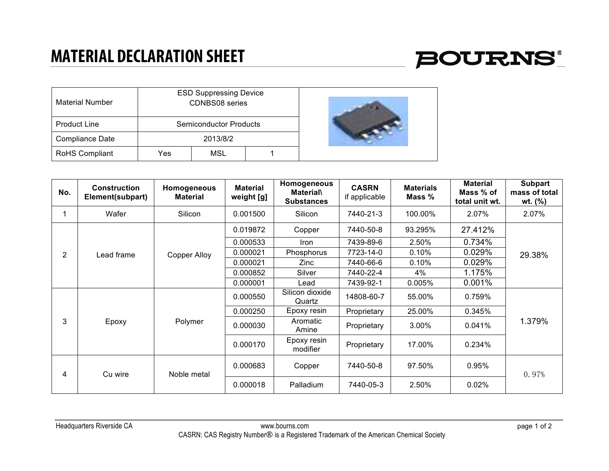## **MATERIAL DECLARATION SHEET**



| <b>Material Number</b> |     | <b>ESD Suppressing Device</b><br><b>CDNBS08</b> series |  |  |
|------------------------|-----|--------------------------------------------------------|--|--|
| <b>Product Line</b>    |     | <b>Semiconductor Products</b>                          |  |  |
| <b>Compliance Date</b> |     | 2013/8/2                                               |  |  |
| RoHS Compliant         | Yes | <b>MSL</b>                                             |  |  |

| No.            | <b>Construction</b><br>Element(subpart) | Homogeneous<br><b>Material</b> | <b>Material</b><br>weight [g] | Homogeneous<br><b>Material\</b><br><b>Substances</b> | <b>CASRN</b><br>if applicable | <b>Materials</b><br>Mass % | <b>Material</b><br>Mass % of<br>total unit wt. | <b>Subpart</b><br>mass of total<br>wt. $(%)$ |
|----------------|-----------------------------------------|--------------------------------|-------------------------------|------------------------------------------------------|-------------------------------|----------------------------|------------------------------------------------|----------------------------------------------|
|                | Wafer                                   | Silicon                        | 0.001500                      | Silicon                                              | 7440-21-3                     | 100.00%                    | 2.07%                                          | 2.07%                                        |
| $\overline{2}$ | Lead frame                              | <b>Copper Alloy</b>            | 0.019872                      | Copper                                               | 7440-50-8                     | 93.295%                    | 27.412%                                        | 29.38%                                       |
|                |                                         |                                | 0.000533                      | Iron                                                 | 7439-89-6                     | 2.50%                      | 0.734%                                         |                                              |
|                |                                         |                                | 0.000021                      | Phosphorus                                           | 7723-14-0                     | 0.10%                      | 0.029%                                         |                                              |
|                |                                         |                                | 0.000021                      | Zinc.                                                | 7440-66-6                     | 0.10%                      | 0.029%                                         |                                              |
|                |                                         |                                | 0.000852                      | Silver                                               | 7440-22-4                     | 4%                         | 1.175%                                         |                                              |
|                |                                         |                                | 0.000001                      | Lead                                                 | 7439-92-1                     | 0.005%                     | 0.001%                                         |                                              |
| 3              | Epoxy                                   | Polymer                        | 0.000550                      | Silicon dioxide<br>Quartz                            | 14808-60-7                    | 55.00%                     | 0.759%                                         | 1.379%                                       |
|                |                                         |                                | 0.000250                      | Epoxy resin                                          | Proprietary                   | 25.00%                     | 0.345%                                         |                                              |
|                |                                         |                                | 0.000030                      | Aromatic<br>Amine                                    | Proprietary                   | 3.00%                      | 0.041%                                         |                                              |
|                |                                         |                                | 0.000170                      | Epoxy resin<br>modifier                              | Proprietary                   | 17.00%                     | 0.234%                                         |                                              |
| 4              | Cu wire                                 | Noble metal                    | 0.000683                      | Copper                                               | 7440-50-8                     | 97.50%                     | 0.95%                                          | 0.97%                                        |
|                |                                         |                                | 0.000018                      | Palladium                                            | 7440-05-3                     | 2.50%                      | 0.02%                                          |                                              |